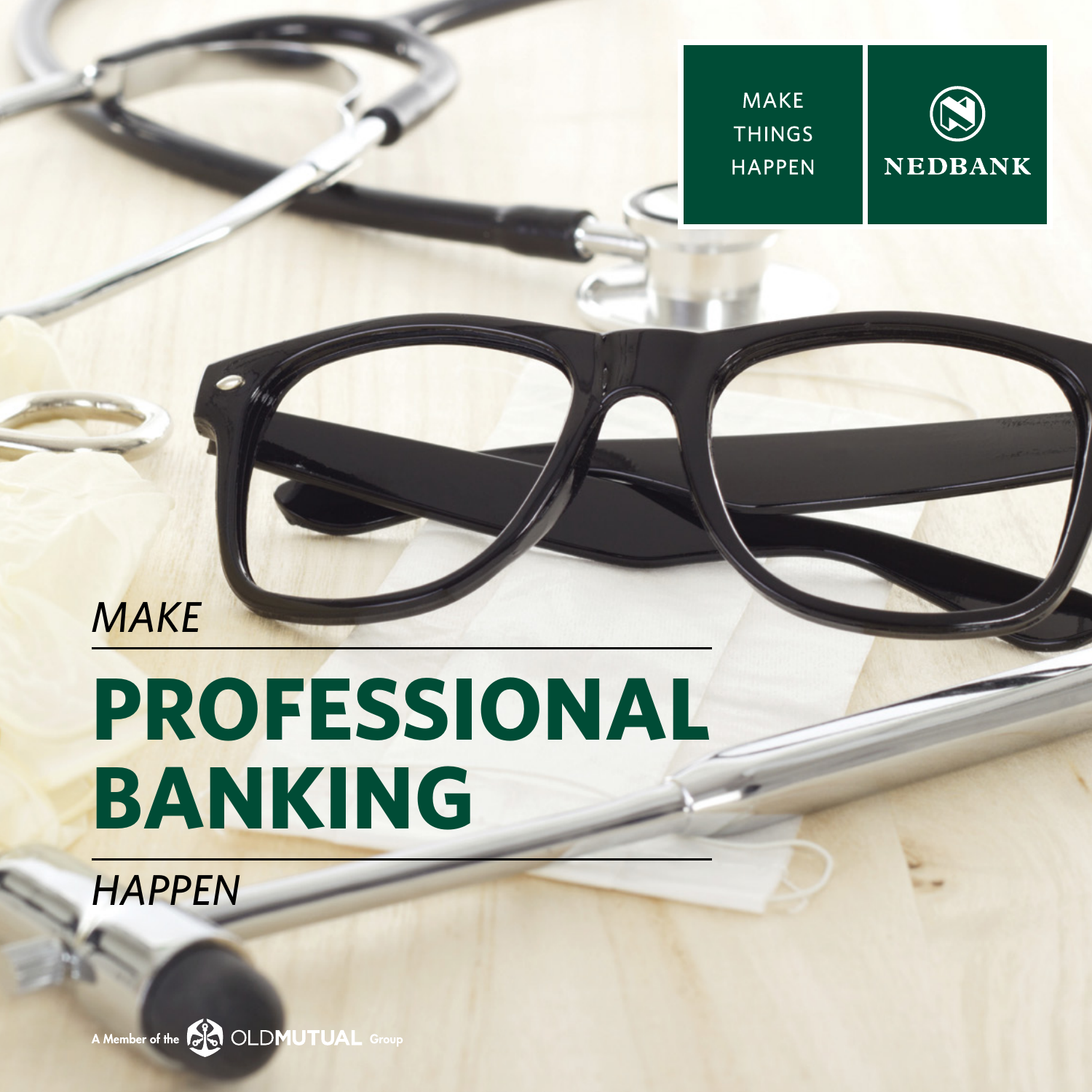**MAKE THINGS HAPPEN** 



### *MAKE*

# **PROFESSIONAL BANKING**

*HAPPEN*

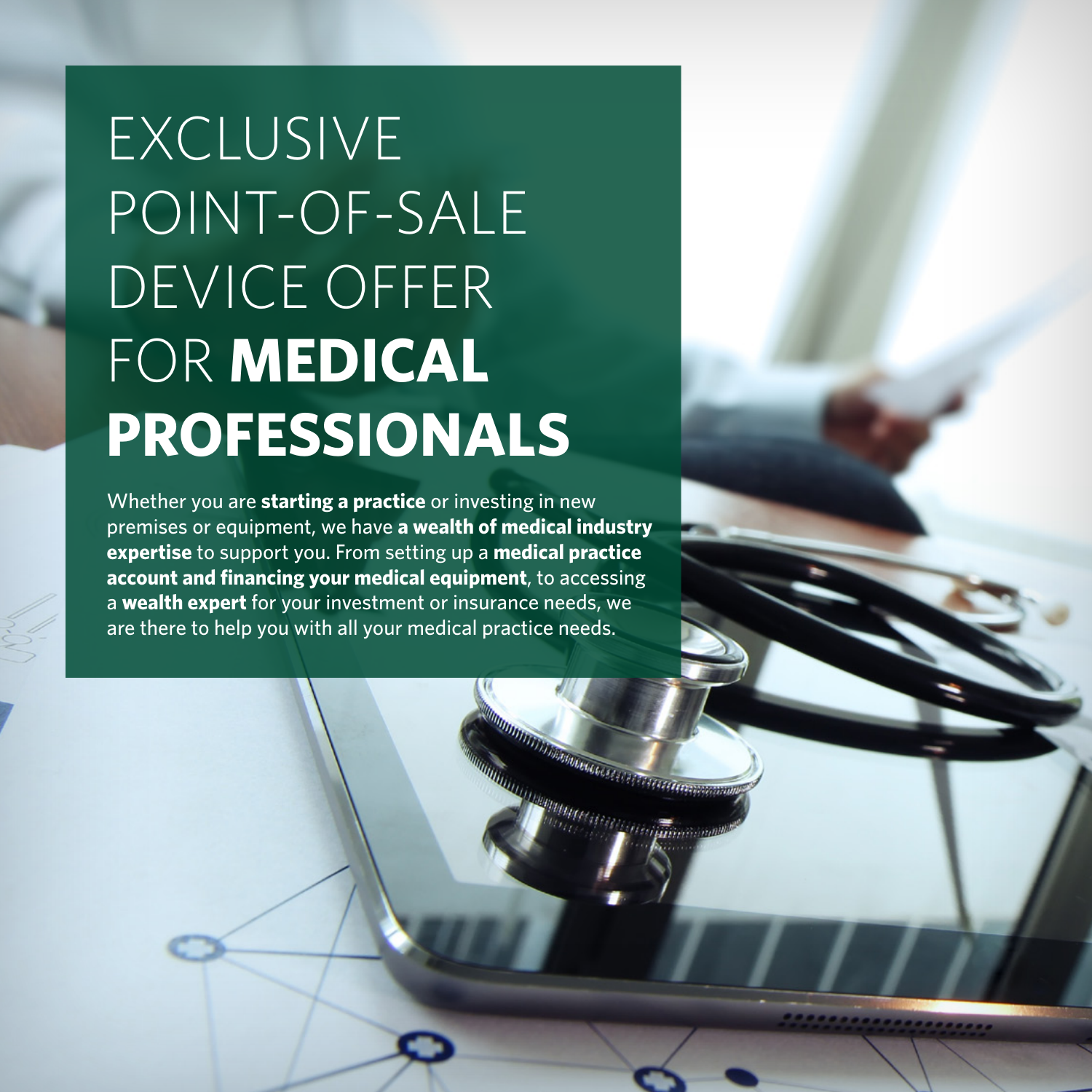## EXCLUSIVE POINT-OF-SALE DEVICE OFFER FOR **MEDICAL PROFESSIONALS**

Whether you are **starting a practice** or investing in new premises or equipment, we have **a wealth of medical industry expertise** to support you. From setting up a **medical practice account and financing your medical equipment**, to accessing a **wealth expert** for your investment or insurance needs, we are there to help you with all your medical practice needs.

mmmmmmmmmmmmmmmmmmmmm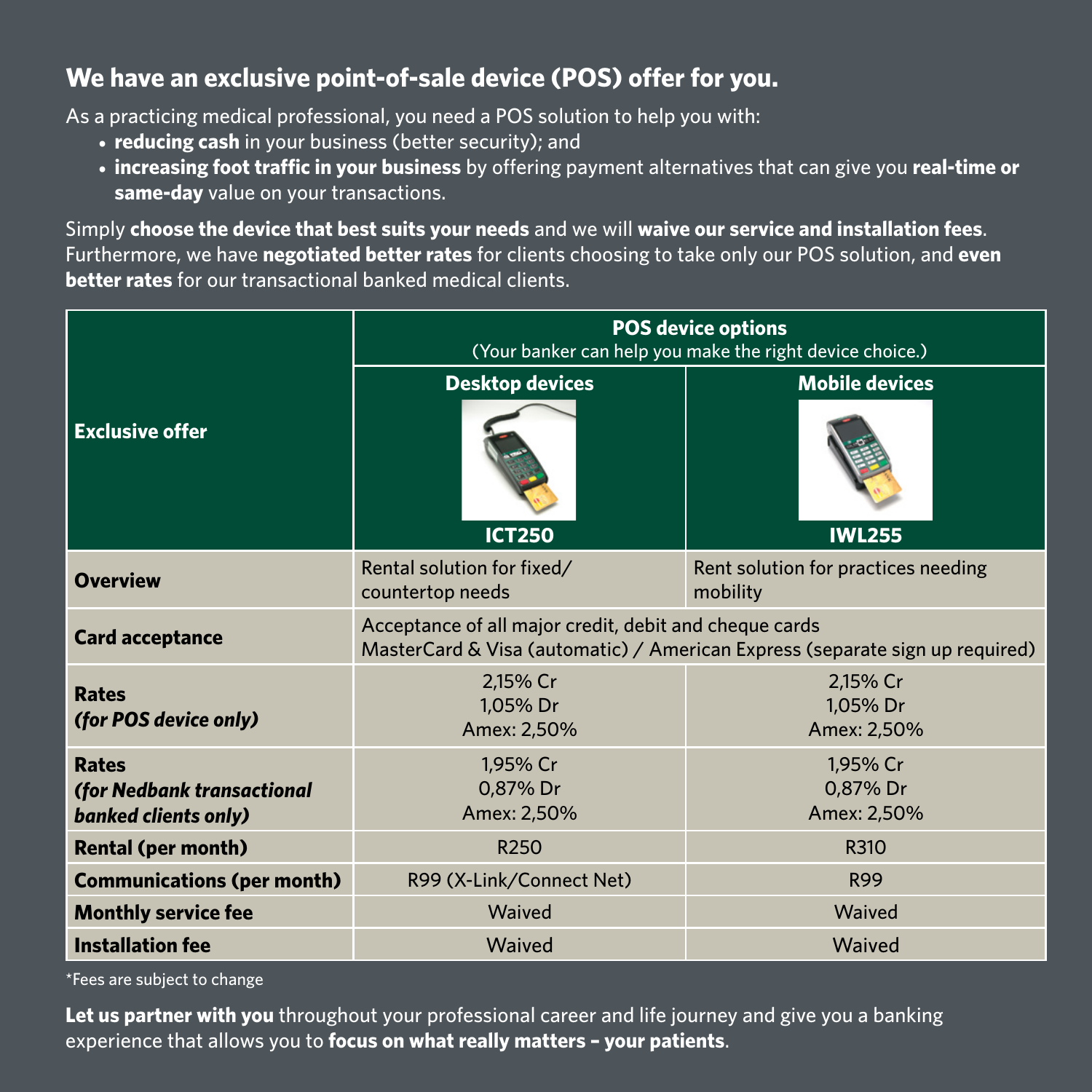#### **We have an exclusive point-of-sale device (POS) offer for you.**

As a practicing medical professional, you need a POS solution to help you with:

- **• reducing cash** in your business (better security); and
- **• increasing foot traffic in your business** by offering payment alternatives that can give you **real-time or same-day** value on your transactions.

Simply **choose the device that best suits your needs** and we will **waive our service and installation fees**. Furthermore, we have **negotiated better rates** for clients choosing to take only our POS solution, and **even better rates** for our transactional banked medical clients.

| <b>Exclusive offer</b>                                                    | <b>POS device options</b><br>(Your banker can help you make the right device choice.)                                                  |                                                 |
|---------------------------------------------------------------------------|----------------------------------------------------------------------------------------------------------------------------------------|-------------------------------------------------|
|                                                                           | <b>Desktop devices</b><br><b>ICT250</b>                                                                                                | <b>Mobile devices</b><br><b>IWL255</b>          |
| <b>Overview</b>                                                           | Rental solution for fixed/<br>countertop needs                                                                                         | Rent solution for practices needing<br>mobility |
| <b>Card acceptance</b>                                                    | Acceptance of all major credit, debit and cheque cards<br>MasterCard & Visa (automatic) / American Express (separate sign up required) |                                                 |
| <b>Rates</b><br>(for POS device only)                                     | 2,15% Cr<br>1,05% Dr<br>Amex: 2,50%                                                                                                    | 2,15% Cr<br>1,05% Dr<br>Amex: 2,50%             |
| <b>Rates</b><br>(for Nedbank transactional<br><b>banked clients only)</b> | 1,95% Cr<br>0,87% Dr<br>Amex: 2,50%                                                                                                    | 1,95% Cr<br>0,87% Dr<br>Amex: 2,50%             |
| <b>Rental (per month)</b>                                                 | R <sub>250</sub>                                                                                                                       | R310                                            |
| <b>Communications (per month)</b>                                         | R99 (X-Link/Connect Net)                                                                                                               | <b>R99</b>                                      |
| <b>Monthly service fee</b>                                                | Waived                                                                                                                                 | Waived                                          |
| <b>Installation fee</b>                                                   | Waived                                                                                                                                 | Waived                                          |

\*Fees are subject to change

**Let us partner with you** throughout your professional career and life journey and give you a banking experience that allows you to **focus on what really matters – your patients**.